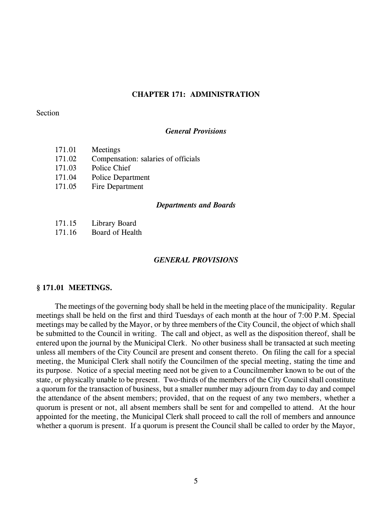## **CHAPTER 171: ADMINISTRATION**

## Section

#### *General Provisions*

- 171.01 Meetings
- 171.02 Compensation: salaries of officials
- 171.03 Police Chief
- 171.04 Police Department
- 171.05 Fire Department

#### *Departments and Boards*

- 171.15 Library Board
- 171.16 Board of Health

## *GENERAL PROVISIONS*

### **§ 171.01 MEETINGS.**

The meetings of the governing body shall be held in the meeting place of the municipality. Regular meetings shall be held on the first and third Tuesdays of each month at the hour of 7:00 P.M. Special meetings may be called by the Mayor, or by three members of the City Council, the object of which shall be submitted to the Council in writing. The call and object, as well as the disposition thereof, shall be entered upon the journal by the Municipal Clerk. No other business shall be transacted at such meeting unless all members of the City Council are present and consent thereto. On filing the call for a special meeting, the Municipal Clerk shall notify the Councilmen of the special meeting, stating the time and its purpose. Notice of a special meeting need not be given to a Councilmember known to be out of the state, or physically unable to be present. Two-thirds of the members of the City Council shall constitute a quorum for the transaction of business, but a smaller number may adjourn from day to day and compel the attendance of the absent members; provided, that on the request of any two members, whether a quorum is present or not, all absent members shall be sent for and compelled to attend. At the hour appointed for the meeting, the Municipal Clerk shall proceed to call the roll of members and announce whether a quorum is present. If a quorum is present the Council shall be called to order by the Mayor,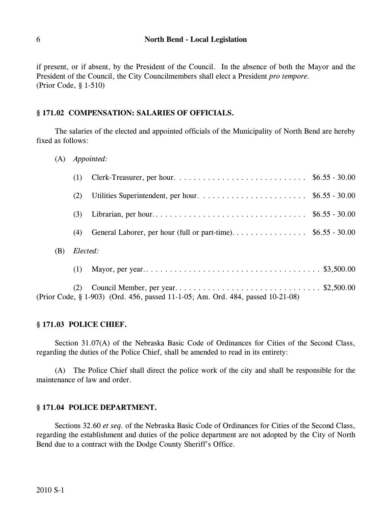if present, or if absent, by the President of the Council. In the absence of both the Mayor and the President of the Council, the City Councilmembers shall elect a President *pro tempore.* (Prior Code, § 1-510)

# **§ 171.02 COMPENSATION: SALARIES OF OFFICIALS.**

The salaries of the elected and appointed officials of the Municipality of North Bend are hereby fixed as follows:

(A) *Appointed:*

|     | (1)      |  |  |
|-----|----------|--|--|
|     | (2)      |  |  |
|     | (3)      |  |  |
|     | (4)      |  |  |
| (B) | Elected: |  |  |
|     | (1)      |  |  |
|     | (2)      |  |  |

# **§ 171.03 POLICE CHIEF.**

Section 31.07(A) of the Nebraska Basic Code of Ordinances for Cities of the Second Class, regarding the duties of the Police Chief, shall be amended to read in its entirety:

(Prior Code, § 1-903) (Ord. 456, passed 11-1-05; Am. Ord. 484, passed 10-21-08)

(A) The Police Chief shall direct the police work of the city and shall be responsible for the maintenance of law and order.

# **§ 171.04 POLICE DEPARTMENT.**

Sections 32.60 *et seq.* of the Nebraska Basic Code of Ordinances for Cities of the Second Class, regarding the establishment and duties of the police department are not adopted by the City of North Bend due to a contract with the Dodge County Sheriff's Office.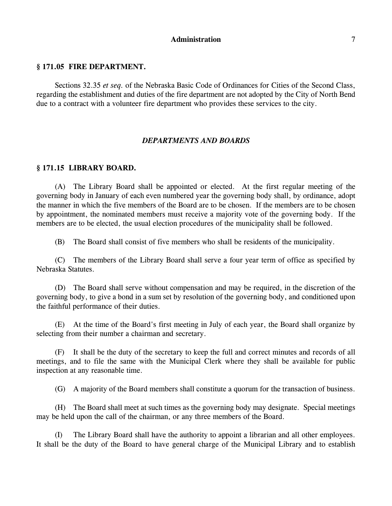## **Administration** 7

## **§ 171.05 FIRE DEPARTMENT.**

Sections 32.35 *et seq.* of the Nebraska Basic Code of Ordinances for Cities of the Second Class, regarding the establishment and duties of the fire department are not adopted by the City of North Bend due to a contract with a volunteer fire department who provides these services to the city.

## *DEPARTMENTS AND BOARDS*

## **§ 171.15 LIBRARY BOARD.**

(A) The Library Board shall be appointed or elected. At the first regular meeting of the governing body in January of each even numbered year the governing body shall, by ordinance, adopt the manner in which the five members of the Board are to be chosen. If the members are to be chosen by appointment, the nominated members must receive a majority vote of the governing body. If the members are to be elected, the usual election procedures of the municipality shall be followed.

(B) The Board shall consist of five members who shall be residents of the municipality.

(C) The members of the Library Board shall serve a four year term of office as specified by Nebraska Statutes.

(D) The Board shall serve without compensation and may be required, in the discretion of the governing body, to give a bond in a sum set by resolution of the governing body, and conditioned upon the faithful performance of their duties.

(E) At the time of the Board's first meeting in July of each year, the Board shall organize by selecting from their number a chairman and secretary.

(F) It shall be the duty of the secretary to keep the full and correct minutes and records of all meetings, and to file the same with the Municipal Clerk where they shall be available for public inspection at any reasonable time.

(G) A majority of the Board members shall constitute a quorum for the transaction of business.

(H) The Board shall meet at such times as the governing body may designate. Special meetings may be held upon the call of the chairman, or any three members of the Board.

(I) The Library Board shall have the authority to appoint a librarian and all other employees. It shall be the duty of the Board to have general charge of the Municipal Library and to establish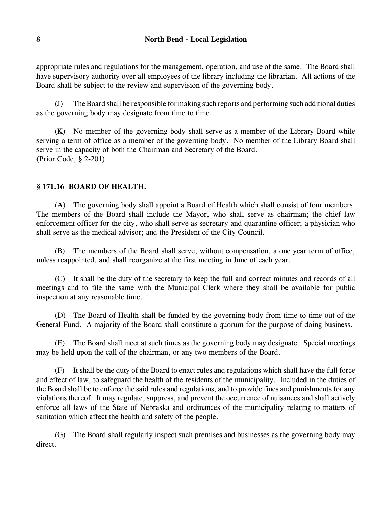appropriate rules and regulations for the management, operation, and use of the same. The Board shall have supervisory authority over all employees of the library including the librarian. All actions of the Board shall be subject to the review and supervision of the governing body.

(J) The Board shall be responsible for making such reports and performing such additional duties as the governing body may designate from time to time.

(K) No member of the governing body shall serve as a member of the Library Board while serving a term of office as a member of the governing body. No member of the Library Board shall serve in the capacity of both the Chairman and Secretary of the Board. (Prior Code, § 2-201)

# **§ 171.16 BOARD OF HEALTH.**

(A) The governing body shall appoint a Board of Health which shall consist of four members. The members of the Board shall include the Mayor, who shall serve as chairman; the chief law enforcement officer for the city, who shall serve as secretary and quarantine officer; a physician who shall serve as the medical advisor; and the President of the City Council.

(B) The members of the Board shall serve, without compensation, a one year term of office, unless reappointed, and shall reorganize at the first meeting in June of each year.

(C) It shall be the duty of the secretary to keep the full and correct minutes and records of all meetings and to file the same with the Municipal Clerk where they shall be available for public inspection at any reasonable time.

(D) The Board of Health shall be funded by the governing body from time to time out of the General Fund. A majority of the Board shall constitute a quorum for the purpose of doing business.

(E) The Board shall meet at such times as the governing body may designate. Special meetings may be held upon the call of the chairman, or any two members of the Board.

(F) It shall be the duty of the Board to enact rules and regulations which shall have the full force and effect of law, to safeguard the health of the residents of the municipality. Included in the duties of the Board shall be to enforce the said rules and regulations, and to provide fines and punishments for any violations thereof. It may regulate, suppress, and prevent the occurrence of nuisances and shall actively enforce all laws of the State of Nebraska and ordinances of the municipality relating to matters of sanitation which affect the health and safety of the people.

(G) The Board shall regularly inspect such premises and businesses as the governing body may direct.